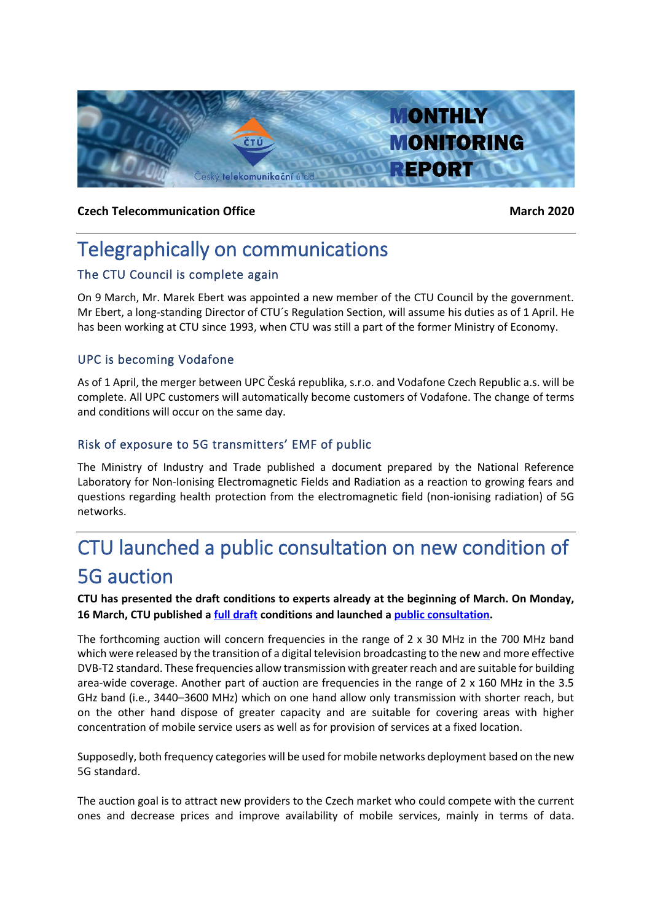

#### **Czech Telecommunication Office March** 2020

## Telegraphically on communications

#### The CTU Council is complete again

On 9 March, Mr. Marek Ebert was appointed a new member of the CTU Council by the government. Mr Ebert, a long-standing Director of CTU´s Regulation Section, will assume his duties as of 1 April. He has been working at CTU since 1993, when CTU was still a part of the former Ministry of Economy.

#### UPC is becoming Vodafone

As of 1 April, the merger between UPC Česká republika, s.r.o. and Vodafone Czech Republic a.s. will be complete. All UPC customers will automatically become customers of Vodafone. The change of terms and conditions will occur on the same day.

#### Risk of exposure to 5G transmitters' EMF of public

The Ministry of Industry and Trade published a document prepared by the National Reference Laboratory for Non-Ionising Electromagnetic Fields and Radiation as a reaction to growing fears and questions regarding health protection from the electromagnetic field (non-ionising radiation) of 5G networks.

# CTU launched a public consultation on new condition of 5G auction

**CTU has presented the draft conditions to experts already at the beginning of March. On Monday, 16 March, CTU published [a full draft](https://www.ctu.eu/sites/default/files/obsah/ctu/vyzva-k-uplatneni-pripominek-k-navrhu-textu-vyhlaseni-vyberoveho-rizeni-za-ucelem-udeleni-prav-k/obrazky/20200316-vyhlasenienvk.pdf) conditions and launched a [public consultation.](https://www.ctu.eu/call-comments-draft-invitation-tender-granting-rights-use-radio-frequencies-provide-electronic)**

The forthcoming auction will concern frequencies in the range of 2 x 30 MHz in the 700 MHz band which were released by the transition of a digital television broadcasting to the new and more effective DVB-T2 standard. These frequencies allow transmission with greater reach and are suitable for building area-wide coverage. Another part of auction are frequencies in the range of 2 x 160 MHz in the 3.5 GHz band (i.e., 3440–3600 MHz) which on one hand allow only transmission with shorter reach, but on the other hand dispose of greater capacity and are suitable for covering areas with higher concentration of mobile service users as well as for provision of services at a fixed location.

Supposedly, both frequency categories will be used for mobile networks deployment based on the new 5G standard.

The auction goal is to attract new providers to the Czech market who could compete with the current ones and decrease prices and improve availability of mobile services, mainly in terms of data.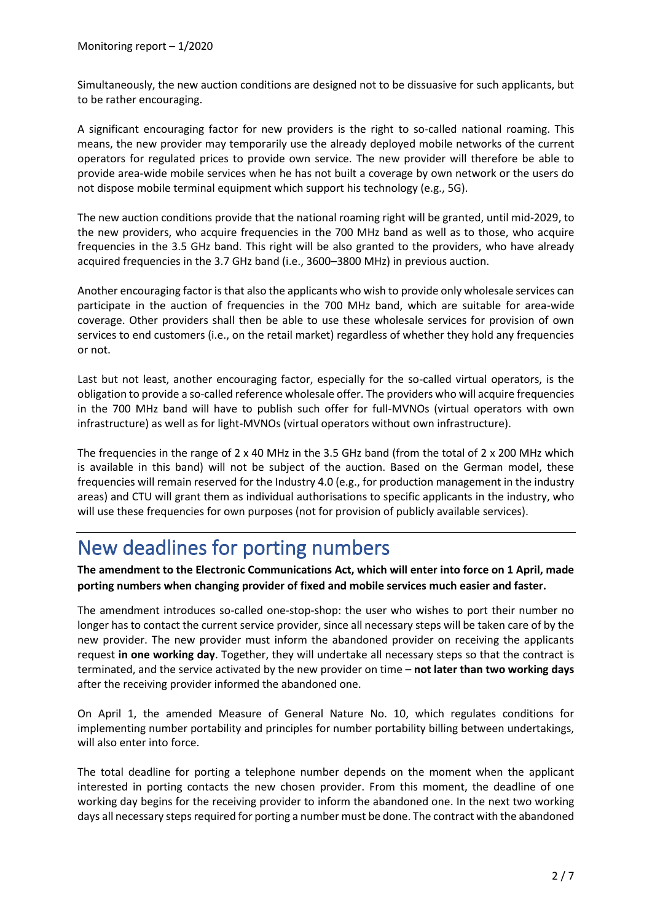Simultaneously, the new auction conditions are designed not to be dissuasive for such applicants, but to be rather encouraging.

A significant encouraging factor for new providers is the right to so-called national roaming. This means, the new provider may temporarily use the already deployed mobile networks of the current operators for regulated prices to provide own service. The new provider will therefore be able to provide area-wide mobile services when he has not built a coverage by own network or the users do not dispose mobile terminal equipment which support his technology (e.g., 5G).

The new auction conditions provide that the national roaming right will be granted, until mid-2029, to the new providers, who acquire frequencies in the 700 MHz band as well as to those, who acquire frequencies in the 3.5 GHz band. This right will be also granted to the providers, who have already acquired frequencies in the 3.7 GHz band (i.e., 3600–3800 MHz) in previous auction.

Another encouraging factor is that also the applicants who wish to provide only wholesale services can participate in the auction of frequencies in the 700 MHz band, which are suitable for area-wide coverage. Other providers shall then be able to use these wholesale services for provision of own services to end customers (i.e., on the retail market) regardless of whether they hold any frequencies or not.

Last but not least, another encouraging factor, especially for the so-called virtual operators, is the obligation to provide a so-called reference wholesale offer. The providers who will acquire frequencies in the 700 MHz band will have to publish such offer for full-MVNOs (virtual operators with own infrastructure) as well as for light-MVNOs (virtual operators without own infrastructure).

The frequencies in the range of 2 x 40 MHz in the 3.5 GHz band (from the total of 2 x 200 MHz which is available in this band) will not be subject of the auction. Based on the German model, these frequencies will remain reserved for the Industry 4.0 (e.g., for production management in the industry areas) and CTU will grant them as individual authorisations to specific applicants in the industry, who will use these frequencies for own purposes (not for provision of publicly available services).

## New deadlines for porting numbers

**The amendment to the Electronic Communications Act, which will enter into force on 1 April, made porting numbers when changing provider of fixed and mobile services much easier and faster.**

The amendment introduces so-called one-stop-shop: the user who wishes to port their number no longer has to contact the current service provider, since all necessary steps will be taken care of by the new provider. The new provider must inform the abandoned provider on receiving the applicants request **in one working day**. Together, they will undertake all necessary steps so that the contract is terminated, and the service activated by the new provider on time – **not later than two working days** after the receiving provider informed the abandoned one.

On April 1, the amended Measure of General Nature No. 10, which regulates conditions for implementing number portability and principles for number portability billing between undertakings, will also enter into force.

The total deadline for porting a telephone number depends on the moment when the applicant interested in porting contacts the new chosen provider. From this moment, the deadline of one working day begins for the receiving provider to inform the abandoned one. In the next two working days all necessary steps required for porting a number must be done. The contract with the abandoned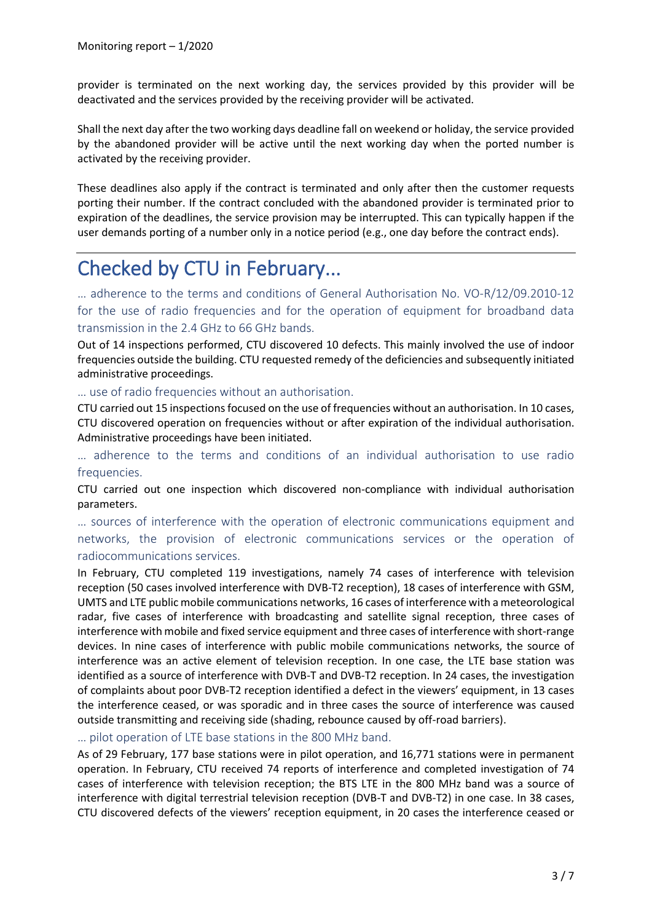provider is terminated on the next working day, the services provided by this provider will be deactivated and the services provided by the receiving provider will be activated.

Shall the next day after the two working days deadline fall on weekend or holiday, the service provided by the abandoned provider will be active until the next working day when the ported number is activated by the receiving provider.

These deadlines also apply if the contract is terminated and only after then the customer requests porting their number. If the contract concluded with the abandoned provider is terminated prior to expiration of the deadlines, the service provision may be interrupted. This can typically happen if the user demands porting of a number only in a notice period (e.g., one day before the contract ends).

# Checked by CTU in February...

… adherence to the terms and conditions of General Authorisation No. VO-R/12/09.2010-12 for the use of radio frequencies and for the operation of equipment for broadband data transmission in the 2.4 GHz to 66 GHz bands.

Out of 14 inspections performed, CTU discovered 10 defects. This mainly involved the use of indoor frequencies outside the building. CTU requested remedy of the deficiencies and subsequently initiated administrative proceedings.

… use of radio frequencies without an authorisation.

CTU carried out 15 inspections focused on the use of frequencies without an authorisation. In 10 cases, CTU discovered operation on frequencies without or after expiration of the individual authorisation. Administrative proceedings have been initiated.

… adherence to the terms and conditions of an individual authorisation to use radio frequencies.

CTU carried out one inspection which discovered non-compliance with individual authorisation parameters.

… sources of interference with the operation of electronic communications equipment and networks, the provision of electronic communications services or the operation of radiocommunications services.

In February, CTU completed 119 investigations, namely 74 cases of interference with television reception (50 cases involved interference with DVB-T2 reception), 18 cases of interference with GSM, UMTS and LTE public mobile communications networks, 16 cases of interference with a meteorological radar, five cases of interference with broadcasting and satellite signal reception, three cases of interference with mobile and fixed service equipment and three cases of interference with short-range devices. In nine cases of interference with public mobile communications networks, the source of interference was an active element of television reception. In one case, the LTE base station was identified as a source of interference with DVB-T and DVB-T2 reception. In 24 cases, the investigation of complaints about poor DVB-T2 reception identified a defect in the viewers' equipment, in 13 cases the interference ceased, or was sporadic and in three cases the source of interference was caused outside transmitting and receiving side (shading, rebounce caused by off-road barriers).

… pilot operation of LTE base stations in the 800 MHz band.

As of 29 February, 177 base stations were in pilot operation, and 16,771 stations were in permanent operation. In February, CTU received 74 reports of interference and completed investigation of 74 cases of interference with television reception; the BTS LTE in the 800 MHz band was a source of interference with digital terrestrial television reception (DVB-T and DVB-T2) in one case. In 38 cases, CTU discovered defects of the viewers' reception equipment, in 20 cases the interference ceased or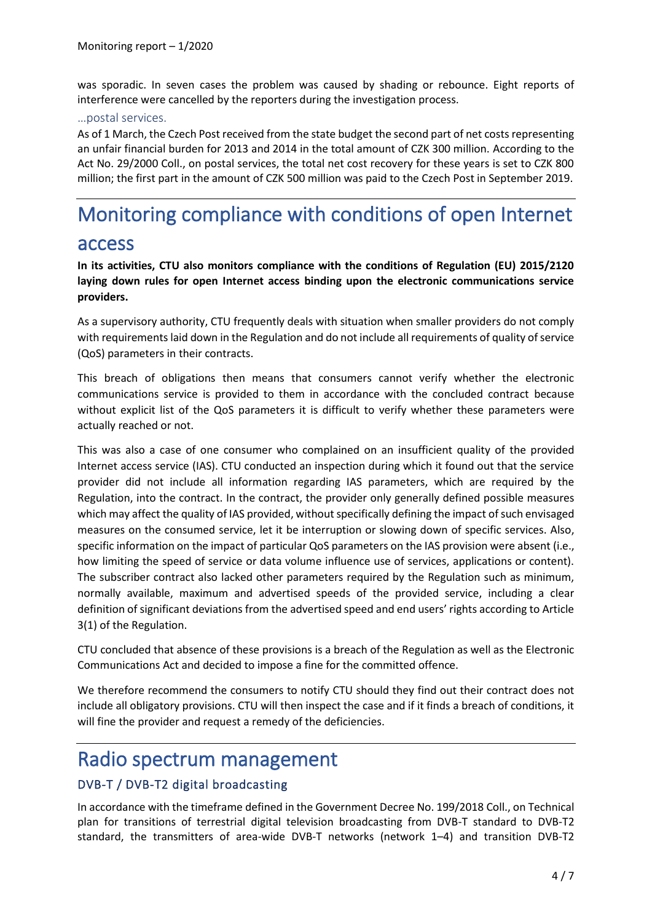was sporadic. In seven cases the problem was caused by shading or rebounce. Eight reports of interference were cancelled by the reporters during the investigation process.

#### …postal services.

As of 1 March, the Czech Post received from the state budget the second part of net costs representing an unfair financial burden for 2013 and 2014 in the total amount of CZK 300 million. According to the Act No. 29/2000 Coll., on postal services, the total net cost recovery for these years is set to CZK 800 million; the first part in the amount of CZK 500 million was paid to the Czech Post in September 2019.

# Monitoring compliance with conditions of open Internet

## access

**In its activities, CTU also monitors compliance with the conditions of Regulation (EU) 2015/2120 laying down rules for open Internet access binding upon the electronic communications service providers.**

As a supervisory authority, CTU frequently deals with situation when smaller providers do not comply with requirements laid down in the Regulation and do not include all requirements of quality of service (QoS) parameters in their contracts.

This breach of obligations then means that consumers cannot verify whether the electronic communications service is provided to them in accordance with the concluded contract because without explicit list of the QoS parameters it is difficult to verify whether these parameters were actually reached or not.

This was also a case of one consumer who complained on an insufficient quality of the provided Internet access service (IAS). CTU conducted an inspection during which it found out that the service provider did not include all information regarding IAS parameters, which are required by the Regulation, into the contract. In the contract, the provider only generally defined possible measures which may affect the quality of IAS provided, without specifically defining the impact of such envisaged measures on the consumed service, let it be interruption or slowing down of specific services. Also, specific information on the impact of particular QoS parameters on the IAS provision were absent (i.e., how limiting the speed of service or data volume influence use of services, applications or content). The subscriber contract also lacked other parameters required by the Regulation such as minimum, normally available, maximum and advertised speeds of the provided service, including a clear definition of significant deviations from the advertised speed and end users' rights according to Article 3(1) of the Regulation.

CTU concluded that absence of these provisions is a breach of the Regulation as well as the Electronic Communications Act and decided to impose a fine for the committed offence.

We therefore recommend the consumers to notify CTU should they find out their contract does not include all obligatory provisions. CTU will then inspect the case and if it finds a breach of conditions, it will fine the provider and request a remedy of the deficiencies.

## Radio spectrum management

#### DVB-T / DVB-T2 digital broadcasting

In accordance with the timeframe defined in the Government Decree No. 199/2018 Coll., on Technical plan for transitions of terrestrial digital television broadcasting from DVB-T standard to DVB-T2 standard, the transmitters of area-wide DVB-T networks (network 1–4) and transition DVB-T2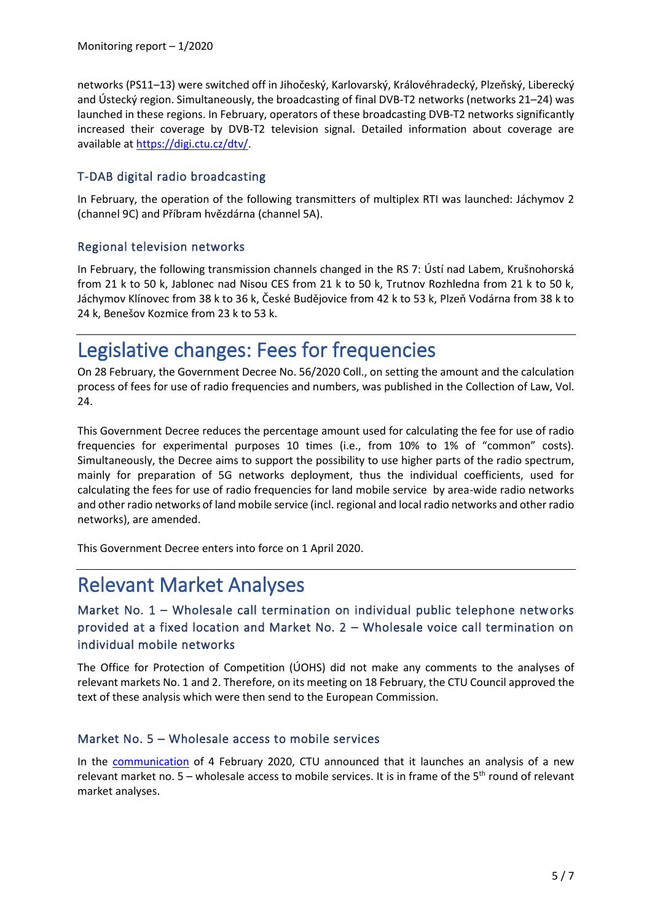networks (PS11–13) were switched off in Jihočeský, Karlovarský, Královéhradecký, Plzeňský, Liberecký and Ústecký region. Simultaneously, the broadcasting of final DVB-T2 networks (networks 21–24) was launched in these regions. In February, operators of these broadcasting DVB-T2 networks significantly increased their coverage by DVB-T2 television signal. Detailed information about coverage are available at [https://digi.ctu.cz/dtv/.](https://digi.ctu.cz/dtv/)

#### T-DAB digital radio broadcasting

In February, the operation of the following transmitters of multiplex RTI was launched: Jáchymov 2 (channel 9C) and Příbram hvězdárna (channel 5A).

#### Regional television networks

In February, the following transmission channels changed in the RS 7: Ústí nad Labem, Krušnohorská from 21 k to 50 k, Jablonec nad Nisou CES from 21 k to 50 k, Trutnov Rozhledna from 21 k to 50 k, Jáchymov Klínovec from 38 k to 36 k, České Budějovice from 42 k to 53 k, Plzeň Vodárna from 38 k to 24 k, Benešov Kozmice from 23 k to 53 k.

## Legislative changes: Fees for frequencies

On 28 February, the Government Decree No. 56/2020 Coll., on setting the amount and the calculation process of fees for use of radio frequencies and numbers, was published in the Collection of Law, Vol. 24.

This Government Decree reduces the percentage amount used for calculating the fee for use of radio frequencies for experimental purposes 10 times (i.e., from 10% to 1% of "common" costs). Simultaneously, the Decree aims to support the possibility to use higher parts of the radio spectrum, mainly for preparation of 5G networks deployment, thus the individual coefficients, used for calculating the fees for use of radio frequencies for land mobile service by area-wide radio networks and other radio networks of land mobile service (incl. regional and local radio networks and other radio networks), are amended.

This Government Decree enters into force on 1 April 2020.

## Relevant Market Analyses

#### Market No. 1 – Wholesale call termination on individual public telephone networks provided at a fixed location and Market No. 2 – Wholesale voice call termination on individual mobile networks

The Office for Protection of Competition (ÚOHS) did not make any comments to the analyses of relevant markets No. 1 and 2. Therefore, on its meeting on 18 February, the CTU Council approved the text of these analysis which were then send to the European Commission.

#### Market No. 5 – Wholesale access to mobile services

In the [communication](https://www.ctu.eu/communication-launch-relevant-market-analysis-market-no-5) of 4 February 2020, CTU announced that it launches an analysis of a new relevant market no. 5 – wholesale access to mobile services. It is in frame of the 5<sup>th</sup> round of relevant market analyses.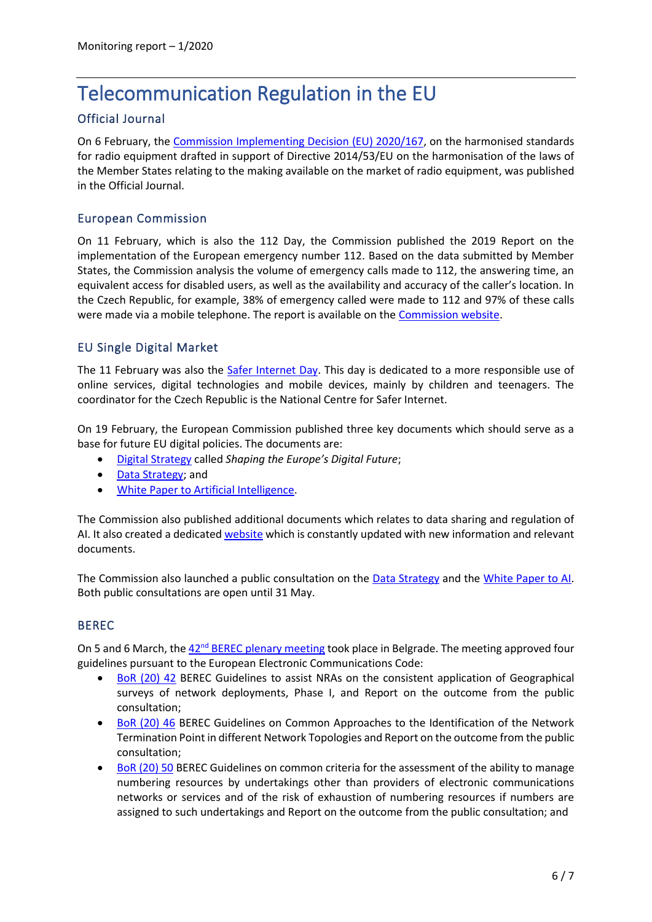## Telecommunication Regulation in the EU

#### Official Journal

On 6 February, the [Commission Implementing Decision \(EU\) 2020/167,](https://eur-lex.europa.eu/legal-content/EN/TXT/PDF/?uri=CELEX:32020D0167&from=EN) on the harmonised standards for radio equipment drafted in support of Directive 2014/53/EU on the harmonisation of the laws of the Member States relating to the making available on the market of radio equipment, was published in the Official Journal.

#### European Commission

On 11 February, which is also the 112 Day, the Commission published the 2019 Report on the implementation of the European emergency number 112. Based on the data submitted by Member States, the Commission analysis the volume of emergency calls made to 112, the answering time, an equivalent access for disabled users, as well as the availability and accuracy of the caller's location. In the Czech Republic, for example, 38% of emergency called were made to 112 and 97% of these calls were made via a mobile telephone. The report is available on the [Commission website.](https://ec.europa.eu/digital-single-market/en/news/2019-report-implementation-european-emergency-number-112)

#### EU Single Digital Market

The 11 February was also the [Safer Internet Day.](https://www.saferinternetday.org/) This day is dedicated to a more responsible use of online services, digital technologies and mobile devices, mainly by children and teenagers. The coordinator for the Czech Republic is the National Centre for Safer Internet.

On 19 February, the European Commission published three key documents which should serve as a base for future EU digital policies. The documents are:

- [Digital Strategy](https://ec.europa.eu/info/strategy/priorities-2019-2024/europe-fit-digital-age/shaping-europe-digital-future_en) called *Shaping the Europe's Digital Future*;
- [Data Strategy;](https://ec.europa.eu/info/strategy/priorities-2019-2024/europe-fit-digital-age/european-data-strategy_en) and
- [White Paper to Artificial Intelligence.](https://ec.europa.eu/info/strategy/priorities-2019-2024/europe-fit-digital-age/excellence-trust-artificial-intelligence_en)

The Commission also published additional documents which relates to data sharing and regulation of AI. It also created a dedicated [website](https://ec.europa.eu/info/strategy/priorities-2019-2024/europe-fit-digital-age_en) which is constantly updated with new information and relevant documents.

The Commission also launched a public consultation on the [Data Strategy](https://ec.europa.eu/digital-single-market/en/news/online-consultation-european-strategy-data) and the [White Paper to AI.](https://ec.europa.eu/digital-single-market/en/news/white-paper-artificial-intelligence-european-approach-excellence-and-trust) Both public consultations are open until 31 May.

#### BEREC

On 5 and 6 March, the 42<sup>nd</sup> [BEREC plenary meeting](https://berec.europa.eu/eng/events/berec_events_2020/211-42nd-berec-ordinary-meetings-in-serbia) took place in Belgrade. The meeting approved four guidelines pursuant to the European Electronic Communications Code:

- [BoR \(20\) 42](https://berec.europa.eu/eng/document_register/subject_matter/berec/regulatory_best_practices/guidelines/9027-berec-guidelines-to-assist-nras-on-the-consistent-application-of-geographical-surveys-of-network-deployments) BEREC Guidelines to assist NRAs on the consistent application of Geographical surveys of network deployments, Phase I, and Report on the outcome from the public consultation;
- [BoR \(20\) 46](https://berec.europa.eu/eng/document_register/subject_matter/berec/regulatory_best_practices/guidelines/9033-berec-guidelines-on-common-approaches-to-the-identification-of-the-network-termination-point-in-different-network-topologies) BEREC Guidelines on Common Approaches to the Identification of the Network Termination Point in different Network Topologies and Report on the outcome from the public consultation;
- [BoR \(20\) 50](https://berec.europa.eu/eng/document_register/subject_matter/berec/regulatory_best_practices/guidelines/9034-berec-guidelines-on-common-criteria-for-the-assessment-of-the-ability-to-manage-numbering-resources-by-undertakings-other-than-providers-of-electronic-communications-networks-or-services-and-of-the-risk-of-exhaustion-of-numbering-resources-if-numbers-are-assigned-to-such-undertakings) BEREC Guidelines on common criteria for the assessment of the ability to manage numbering resources by undertakings other than providers of electronic communications networks or services and of the risk of exhaustion of numbering resources if numbers are assigned to such undertakings and Report on the outcome from the public consultation; and